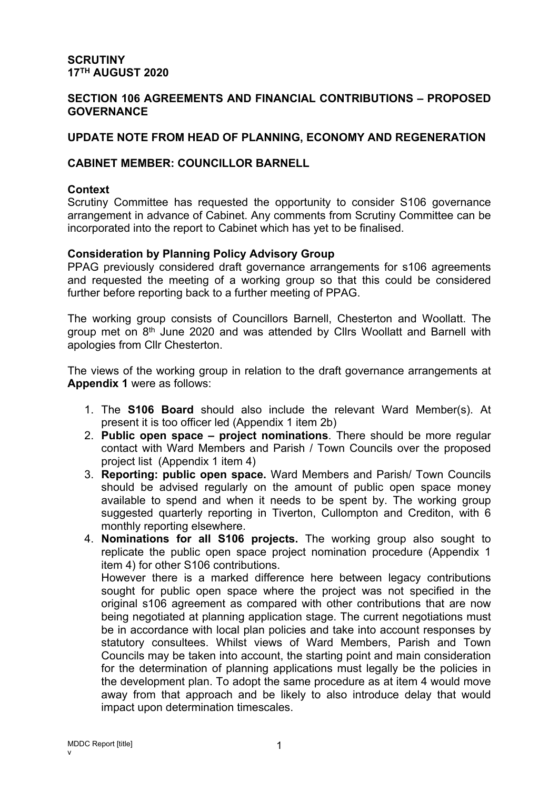#### **SCRUTINY 17TH AUGUST 2020**

### **SECTION 106 AGREEMENTS AND FINANCIAL CONTRIBUTIONS – PROPOSED GOVERNANCE**

### **UPDATE NOTE FROM HEAD OF PLANNING, ECONOMY AND REGENERATION**

### **CABINET MEMBER: COUNCILLOR BARNELL**

#### **Context**

Scrutiny Committee has requested the opportunity to consider S106 governance arrangement in advance of Cabinet. Any comments from Scrutiny Committee can be incorporated into the report to Cabinet which has yet to be finalised.

### **Consideration by Planning Policy Advisory Group**

PPAG previously considered draft governance arrangements for s106 agreements and requested the meeting of a working group so that this could be considered further before reporting back to a further meeting of PPAG.

The working group consists of Councillors Barnell, Chesterton and Woollatt. The group met on 8<sup>th</sup> June 2020 and was attended by Cllrs Woollatt and Barnell with apologies from Cllr Chesterton.

The views of the working group in relation to the draft governance arrangements at **Appendix 1** were as follows:

- 1. The **S106 Board** should also include the relevant Ward Member(s). At present it is too officer led (Appendix 1 item 2b)
- 2. **Public open space – project nominations**. There should be more regular contact with Ward Members and Parish / Town Councils over the proposed project list (Appendix 1 item 4)
- 3. **Reporting: public open space.** Ward Members and Parish/ Town Councils should be advised regularly on the amount of public open space money available to spend and when it needs to be spent by. The working group suggested quarterly reporting in Tiverton, Cullompton and Crediton, with 6 monthly reporting elsewhere.
- 4. **Nominations for all S106 projects.** The working group also sought to replicate the public open space project nomination procedure (Appendix 1 item 4) for other S106 contributions. However there is a marked difference here between legacy contributions sought for public open space where the project was not specified in the original s106 agreement as compared with other contributions that are now being negotiated at planning application stage. The current negotiations must be in accordance with local plan policies and take into account responses by statutory consultees. Whilst views of Ward Members, Parish and Town Councils may be taken into account, the starting point and main consideration for the determination of planning applications must legally be the policies in the development plan. To adopt the same procedure as at item 4 would move away from that approach and be likely to also introduce delay that would impact upon determination timescales.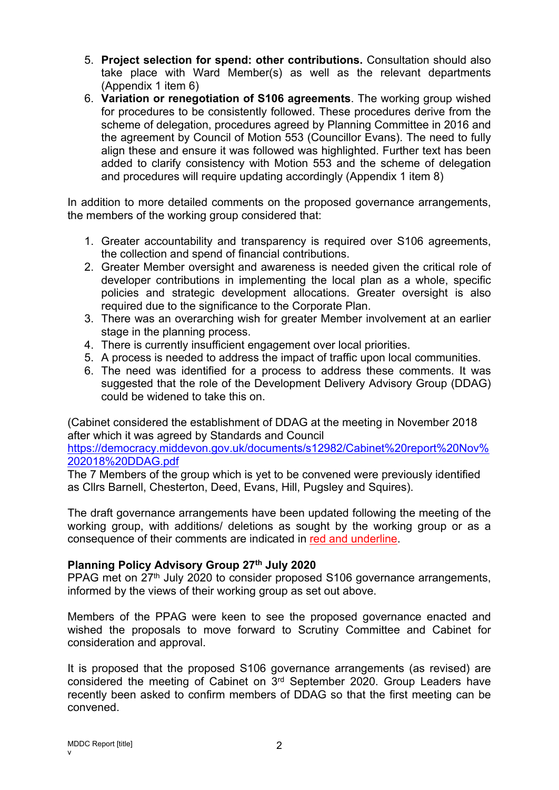- 5. **Project selection for spend: other contributions.** Consultation should also take place with Ward Member(s) as well as the relevant departments (Appendix 1 item 6)
- 6. **Variation or renegotiation of S106 agreements**. The working group wished for procedures to be consistently followed. These procedures derive from the scheme of delegation, procedures agreed by Planning Committee in 2016 and the agreement by Council of Motion 553 (Councillor Evans). The need to fully align these and ensure it was followed was highlighted. Further text has been added to clarify consistency with Motion 553 and the scheme of delegation and procedures will require updating accordingly (Appendix 1 item 8)

In addition to more detailed comments on the proposed governance arrangements, the members of the working group considered that:

- 1. Greater accountability and transparency is required over S106 agreements, the collection and spend of financial contributions.
- 2. Greater Member oversight and awareness is needed given the critical role of developer contributions in implementing the local plan as a whole, specific policies and strategic development allocations. Greater oversight is also required due to the significance to the Corporate Plan.
- 3. There was an overarching wish for greater Member involvement at an earlier stage in the planning process.
- 4. There is currently insufficient engagement over local priorities.
- 5. A process is needed to address the impact of traffic upon local communities.
- 6. The need was identified for a process to address these comments. It was suggested that the role of the Development Delivery Advisory Group (DDAG) could be widened to take this on.

(Cabinet considered the establishment of DDAG at the meeting in November 2018 after which it was agreed by Standards and Council

[https://democracy.middevon.gov.uk/documents/s12982/Cabinet%20report%20Nov%](https://democracy.middevon.gov.uk/documents/s12982/Cabinet%20report%20Nov%202018%20DDAG.pdf) [202018%20DDAG.pdf](https://democracy.middevon.gov.uk/documents/s12982/Cabinet%20report%20Nov%202018%20DDAG.pdf)

The 7 Members of the group which is yet to be convened were previously identified as Cllrs Barnell, Chesterton, Deed, Evans, Hill, Pugsley and Squires).

The draft governance arrangements have been updated following the meeting of the working group, with additions/ deletions as sought by the working group or as a consequence of their comments are indicated in red and underline.

### **Planning Policy Advisory Group 27th July 2020**

PPAG met on 27<sup>th</sup> July 2020 to consider proposed S106 governance arrangements, informed by the views of their working group as set out above.

Members of the PPAG were keen to see the proposed governance enacted and wished the proposals to move forward to Scrutiny Committee and Cabinet for consideration and approval.

It is proposed that the proposed S106 governance arrangements (as revised) are considered the meeting of Cabinet on 3<sup>rd</sup> September 2020. Group Leaders have recently been asked to confirm members of DDAG so that the first meeting can be convened.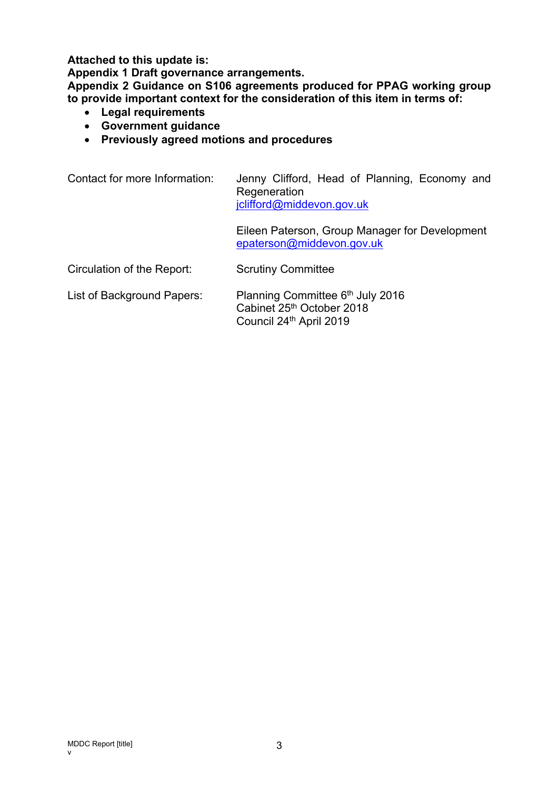**Attached to this update is:**

**Appendix 1 Draft governance arrangements.**

**Appendix 2 Guidance on S106 agreements produced for PPAG working group to provide important context for the consideration of this item in terms of:**

- **Legal requirements**
- **Government guidance**
- **Previously agreed motions and procedures**

| Contact for more Information: | Jenny Clifford, Head of Planning, Economy and<br>Regeneration<br>jclifford@middevon.gov.uk |
|-------------------------------|--------------------------------------------------------------------------------------------|
|                               | Eileen Paterson, Group Manager for Development<br>epaterson@middevon.gov.uk                |
| Circulation of the Report:    | <b>Scrutiny Committee</b>                                                                  |
| List of Background Papers:    | Planning Committee 6th July 2016<br>Cabinet 25th October 2018<br>Council 24th April 2019   |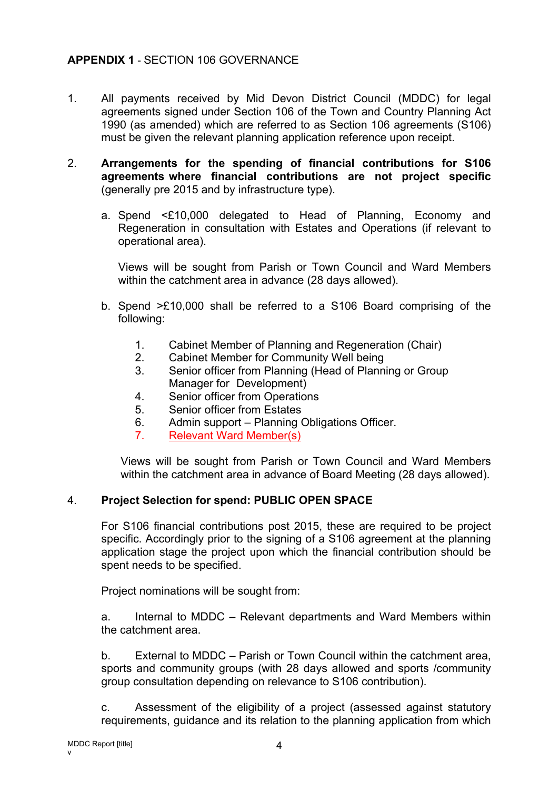# **APPENDIX 1** - SECTION 106 GOVERNANCE

- 1. All payments received by Mid Devon District Council (MDDC) for legal agreements signed under Section 106 of the Town and Country Planning Act 1990 (as amended) which are referred to as Section 106 agreements (S106) must be given the relevant planning application reference upon receipt.
- 2. **Arrangements for the spending of financial contributions for S106 agreements where financial contributions are not project specific** (generally pre 2015 and by infrastructure type).
	- a. Spend <£10,000 delegated to Head of Planning, Economy and Regeneration in consultation with Estates and Operations (if relevant to operational area).

Views will be sought from Parish or Town Council and Ward Members within the catchment area in advance (28 days allowed).

- b. Spend >£10,000 shall be referred to a S106 Board comprising of the following:
	- 1. Cabinet Member of Planning and Regeneration (Chair)
	- 2. Cabinet Member for Community Well being
	- 3. Senior officer from Planning (Head of Planning or Group Manager for Development)
	- 4. Senior officer from Operations
	- 5. Senior officer from Estates
	- 6. Admin support Planning Obligations Officer.
	- 7. Relevant Ward Member(s)

Views will be sought from Parish or Town Council and Ward Members within the catchment area in advance of Board Meeting (28 days allowed).

### 4. **Project Selection for spend: PUBLIC OPEN SPACE**

For S106 financial contributions post 2015, these are required to be project specific. Accordingly prior to the signing of a S106 agreement at the planning application stage the project upon which the financial contribution should be spent needs to be specified.

Project nominations will be sought from:

a. Internal to MDDC – Relevant departments and Ward Members within the catchment area.

b. External to MDDC – Parish or Town Council within the catchment area, sports and community groups (with 28 days allowed and sports /community group consultation depending on relevance to S106 contribution).

c. Assessment of the eligibility of a project (assessed against statutory requirements, guidance and its relation to the planning application from which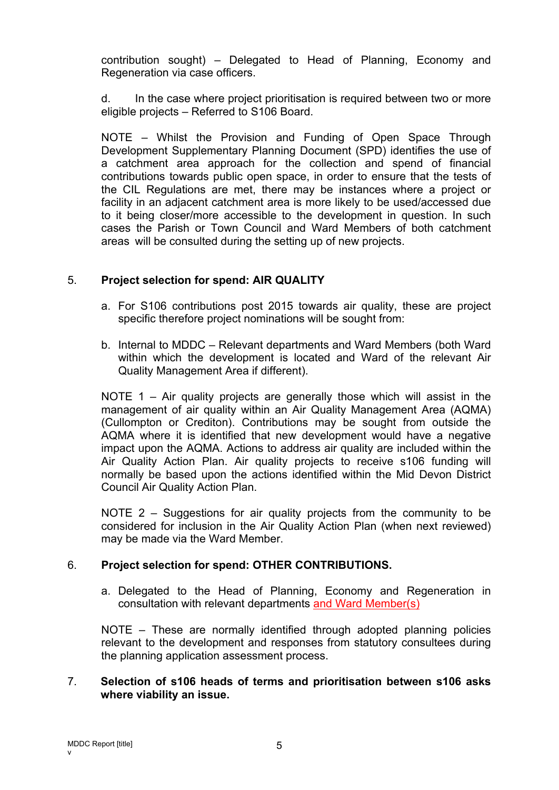contribution sought) – Delegated to Head of Planning, Economy and Regeneration via case officers.

d. In the case where project prioritisation is required between two or more eligible projects – Referred to S106 Board.

NOTE – Whilst the Provision and Funding of Open Space Through Development Supplementary Planning Document (SPD) identifies the use of a catchment area approach for the collection and spend of financial contributions towards public open space, in order to ensure that the tests of the CIL Regulations are met, there may be instances where a project or facility in an adjacent catchment area is more likely to be used/accessed due to it being closer/more accessible to the development in question. In such cases the Parish or Town Council and Ward Members of both catchment areas will be consulted during the setting up of new projects.

### 5. **Project selection for spend: AIR QUALITY**

- a. For S106 contributions post 2015 towards air quality, these are project specific therefore project nominations will be sought from:
- b. Internal to MDDC Relevant departments and Ward Members (both Ward within which the development is located and Ward of the relevant Air Quality Management Area if different).

NOTE 1 – Air quality projects are generally those which will assist in the management of air quality within an Air Quality Management Area (AQMA) (Cullompton or Crediton). Contributions may be sought from outside the AQMA where it is identified that new development would have a negative impact upon the AQMA. Actions to address air quality are included within the Air Quality Action Plan. Air quality projects to receive s106 funding will normally be based upon the actions identified within the Mid Devon District Council Air Quality Action Plan.

NOTE 2 – Suggestions for air quality projects from the community to be considered for inclusion in the Air Quality Action Plan (when next reviewed) may be made via the Ward Member.

## 6. **Project selection for spend: OTHER CONTRIBUTIONS.**

a. Delegated to the Head of Planning, Economy and Regeneration in consultation with relevant departments and Ward Member(s)

NOTE – These are normally identified through adopted planning policies relevant to the development and responses from statutory consultees during the planning application assessment process.

### 7. **Selection of s106 heads of terms and prioritisation between s106 asks where viability an issue.**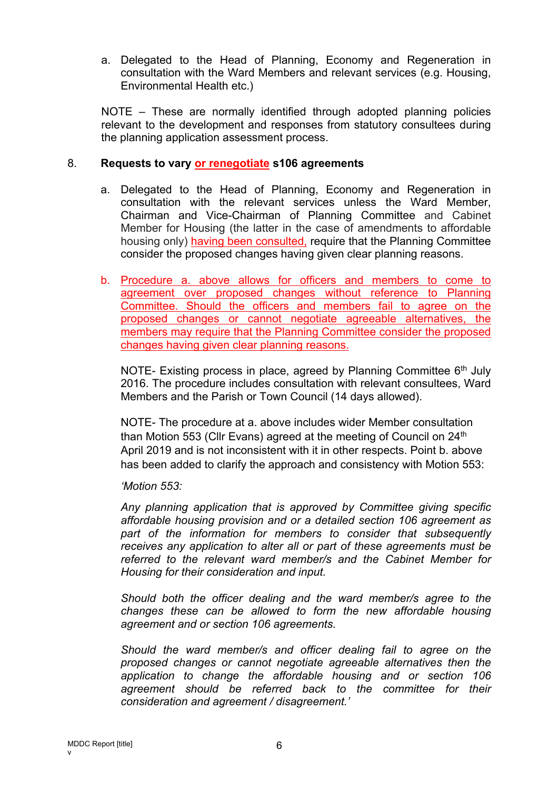a. Delegated to the Head of Planning, Economy and Regeneration in consultation with the Ward Members and relevant services (e.g. Housing, Environmental Health etc.)

NOTE – These are normally identified through adopted planning policies relevant to the development and responses from statutory consultees during the planning application assessment process.

### 8. **Requests to vary or renegotiate s106 agreements**

- a. Delegated to the Head of Planning, Economy and Regeneration in consultation with the relevant services unless the Ward Member, Chairman and Vice-Chairman of Planning Committee and Cabinet Member for Housing (the latter in the case of amendments to affordable housing only) having been consulted, require that the Planning Committee consider the proposed changes having given clear planning reasons.
- b. Procedure a. above allows for officers and members to come to agreement over proposed changes without reference to Planning Committee. Should the officers and members fail to agree on the proposed changes or cannot negotiate agreeable alternatives, the members may require that the Planning Committee consider the proposed changes having given clear planning reasons.

NOTE- Existing process in place, agreed by Planning Committee 6<sup>th</sup> July 2016. The procedure includes consultation with relevant consultees, Ward Members and the Parish or Town Council (14 days allowed).

NOTE- The procedure at a. above includes wider Member consultation than Motion 553 (Cllr Evans) agreed at the meeting of Council on 24<sup>th</sup> April 2019 and is not inconsistent with it in other respects. Point b. above has been added to clarify the approach and consistency with Motion 553:

*'Motion 553:*

*Any planning application that is approved by Committee giving specific affordable housing provision and or a detailed section 106 agreement as part of the information for members to consider that subsequently receives any application to alter all or part of these agreements must be referred to the relevant ward member/s and the Cabinet Member for Housing for their consideration and input.*

*Should both the officer dealing and the ward member/s agree to the changes these can be allowed to form the new affordable housing agreement and or section 106 agreements.*

*Should the ward member/s and officer dealing fail to agree on the proposed changes or cannot negotiate agreeable alternatives then the application to change the affordable housing and or section 106 agreement should be referred back to the committee for their consideration and agreement / disagreement.'*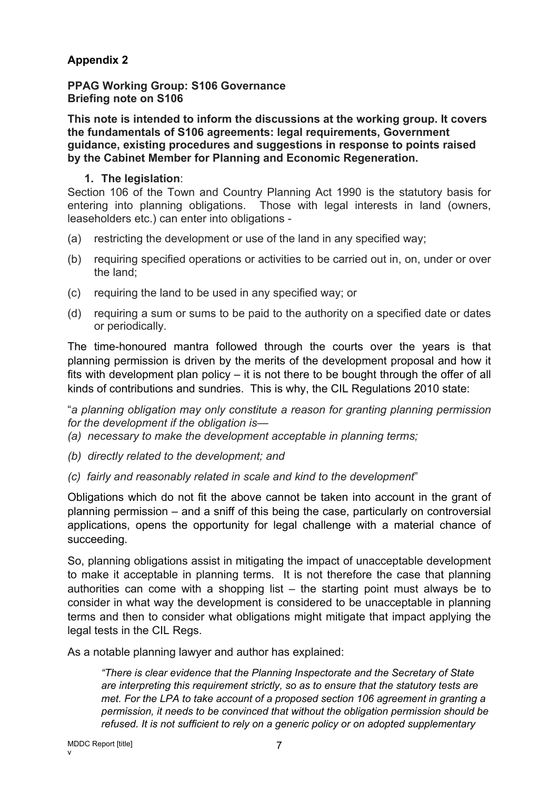# **Appendix 2**

**PPAG Working Group: S106 Governance Briefing note on S106**

**This note is intended to inform the discussions at the working group. It covers the fundamentals of S106 agreements: legal requirements, Government guidance, existing procedures and suggestions in response to points raised by the Cabinet Member for Planning and Economic Regeneration.**

### **1. The legislation**:

Section 106 of the Town and Country Planning Act 1990 is the statutory basis for entering into planning obligations. Those with legal interests in land (owners, leaseholders etc.) can enter into obligations -

- (a) restricting the development or use of the land in any specified way;
- (b) requiring specified operations or activities to be carried out in, on, under or over the land;
- (c) requiring the land to be used in any specified way; or
- (d) requiring a sum or sums to be paid to the authority on a specified date or dates or periodically.

The time-honoured mantra followed through the courts over the years is that planning permission is driven by the merits of the development proposal and how it fits with development plan policy – it is not there to be bought through the offer of all kinds of contributions and sundries. This is why, the CIL Regulations 2010 state:

"*a planning obligation may only constitute a reason for granting planning permission for the development if the obligation is—*

- *(a) necessary to make the development acceptable in planning terms;*
- *(b) directly related to the development; and*
- *(c) fairly and reasonably related in scale and kind to the development*"

Obligations which do not fit the above cannot be taken into account in the grant of planning permission – and a sniff of this being the case, particularly on controversial applications, opens the opportunity for legal challenge with a material chance of succeeding.

So, planning obligations assist in mitigating the impact of unacceptable development to make it acceptable in planning terms. It is not therefore the case that planning authorities can come with a shopping list – the starting point must always be to consider in what way the development is considered to be unacceptable in planning terms and then to consider what obligations might mitigate that impact applying the legal tests in the CIL Regs.

As a notable planning lawyer and author has explained:

*"There is clear evidence that the Planning Inspectorate and the Secretary of State are interpreting this requirement strictly, so as to ensure that the statutory tests are met. For the LPA to take account of a proposed section 106 agreement in granting a permission, it needs to be convinced that without the obligation permission should be refused. It is not sufficient to rely on a generic policy or on adopted supplementary*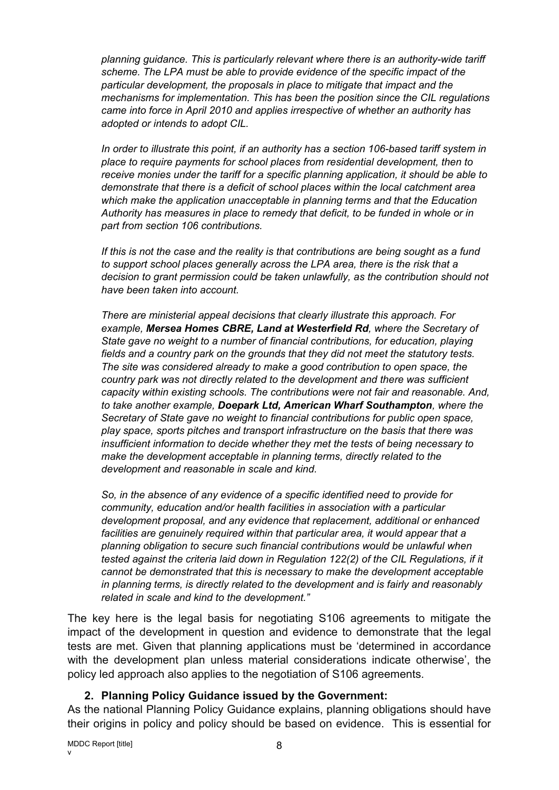*planning guidance. This is particularly relevant where there is an authority-wide tariff scheme. The LPA must be able to provide evidence of the specific impact of the particular development, the proposals in place to mitigate that impact and the mechanisms for implementation. This has been the position since the CIL regulations came into force in April 2010 and applies irrespective of whether an authority has adopted or intends to adopt CIL.*

*In order to illustrate this point, if an authority has a section 106-based tariff system in place to require payments for school places from residential development, then to receive monies under the tariff for a specific planning application, it should be able to demonstrate that there is a deficit of school places within the local catchment area which make the application unacceptable in planning terms and that the Education Authority has measures in place to remedy that deficit, to be funded in whole or in part from section 106 contributions.*

*If this is not the case and the reality is that contributions are being sought as a fund to support school places generally across the LPA area, there is the risk that a decision to grant permission could be taken unlawfully, as the contribution should not have been taken into account.*

*There are ministerial appeal decisions that clearly illustrate this approach. For example, Mersea Homes CBRE, Land at Westerfield Rd, where the Secretary of State gave no weight to a number of financial contributions, for education, playing fields and a country park on the grounds that they did not meet the statutory tests. The site was considered already to make a good contribution to open space, the country park was not directly related to the development and there was sufficient capacity within existing schools. The contributions were not fair and reasonable. And, to take another example, Doepark Ltd, American Wharf Southampton, where the Secretary of State gave no weight to financial contributions for public open space, play space, sports pitches and transport infrastructure on the basis that there was insufficient information to decide whether they met the tests of being necessary to make the development acceptable in planning terms, directly related to the development and reasonable in scale and kind.*

*So, in the absence of any evidence of a specific identified need to provide for community, education and/or health facilities in association with a particular development proposal, and any evidence that replacement, additional or enhanced facilities are genuinely required within that particular area, it would appear that a planning obligation to secure such financial contributions would be unlawful when tested against the criteria laid down in Regulation 122(2) of the CIL Regulations, if it cannot be demonstrated that this is necessary to make the development acceptable in planning terms, is directly related to the development and is fairly and reasonably related in scale and kind to the development."*

The key here is the legal basis for negotiating S106 agreements to mitigate the impact of the development in question and evidence to demonstrate that the legal tests are met. Given that planning applications must be 'determined in accordance with the development plan unless material considerations indicate otherwise', the policy led approach also applies to the negotiation of S106 agreements.

## **2. Planning Policy Guidance issued by the Government:**

As the national Planning Policy Guidance explains, planning obligations should have their origins in policy and policy should be based on evidence. This is essential for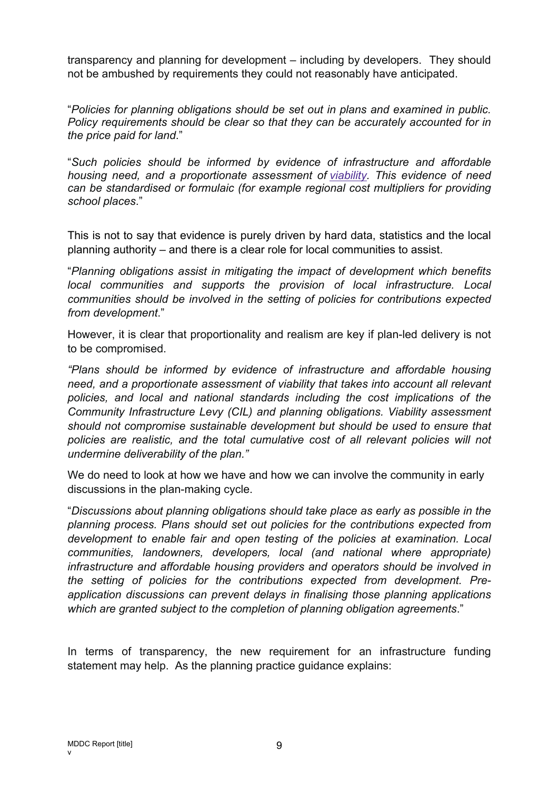transparency and planning for development – including by developers. They should not be ambushed by requirements they could not reasonably have anticipated.

"*Policies for planning obligations should be set out in plans and examined in public. Policy requirements should be clear so that they can be accurately accounted for in the price paid for land*."

"*Such policies should be informed by evidence of infrastructure and affordable housing need, and a proportionate assessment of [viability.](https://www.gov.uk/guidance/viability) This evidence of need can be standardised or formulaic (for example regional cost multipliers for providing school places*."

This is not to say that evidence is purely driven by hard data, statistics and the local planning authority – and there is a clear role for local communities to assist.

"*Planning obligations assist in mitigating the impact of development which benefits local communities and supports the provision of local infrastructure. Local communities should be involved in the setting of policies for contributions expected from development*."

However, it is clear that proportionality and realism are key if plan-led delivery is not to be compromised.

*"Plans should be informed by evidence of infrastructure and affordable housing need, and a proportionate assessment of viability that takes into account all relevant policies, and local and national standards including the cost implications of the Community Infrastructure Levy (CIL) and planning obligations. Viability assessment should not compromise sustainable development but should be used to ensure that policies are realistic, and the total cumulative cost of all relevant policies will not undermine deliverability of the plan."*

We do need to look at how we have and how we can involve the community in early discussions in the plan-making cycle.

"*Discussions about planning obligations should take place as early as possible in the planning process. Plans should set out policies for the contributions expected from development to enable fair and open testing of the policies at examination. Local communities, landowners, developers, local (and national where appropriate) infrastructure and affordable housing providers and operators should be involved in the setting of policies for the contributions expected from development. Preapplication discussions can prevent delays in finalising those planning applications which are granted subject to the completion of planning obligation agreements*."

In terms of transparency, the new requirement for an infrastructure funding statement may help. As the planning practice guidance explains: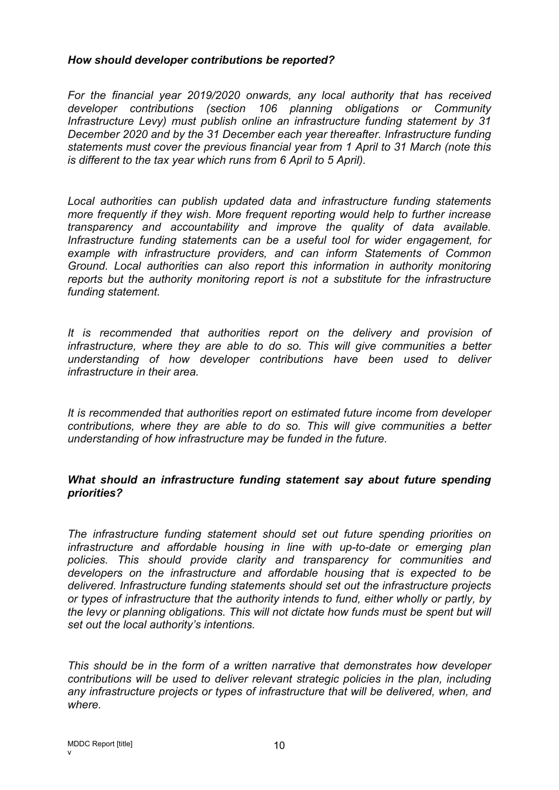### *How should developer contributions be reported?*

*For the financial year 2019/2020 onwards, any local authority that has received developer contributions (section 106 planning obligations or Community Infrastructure Levy) must publish online an infrastructure funding statement by 31 December 2020 and by the 31 December each year thereafter. Infrastructure funding statements must cover the previous financial year from 1 April to 31 March (note this is different to the tax year which runs from 6 April to 5 April).*

*Local authorities can publish updated data and infrastructure funding statements more frequently if they wish. More frequent reporting would help to further increase transparency and accountability and improve the quality of data available. Infrastructure funding statements can be a useful tool for wider engagement, for example with infrastructure providers, and can inform Statements of Common Ground. Local authorities can also report this information in authority monitoring reports but the authority monitoring report is not a substitute for the infrastructure funding statement.*

*It is recommended that authorities report on the delivery and provision of infrastructure, where they are able to do so. This will give communities a better understanding of how developer contributions have been used to deliver infrastructure in their area.*

*It is recommended that authorities report on estimated future income from developer contributions, where they are able to do so. This will give communities a better understanding of how infrastructure may be funded in the future.*

### *What should an infrastructure funding statement say about future spending priorities?*

*The infrastructure funding statement should set out future spending priorities on infrastructure and affordable housing in line with up-to-date or emerging plan policies. This should provide clarity and transparency for communities and developers on the infrastructure and affordable housing that is expected to be delivered. Infrastructure funding statements should set out the infrastructure projects or types of infrastructure that the authority intends to fund, either wholly or partly, by the levy or planning obligations. This will not dictate how funds must be spent but will set out the local authority's intentions.*

*This should be in the form of a written narrative that demonstrates how developer contributions will be used to deliver relevant strategic policies in the plan, including any infrastructure projects or types of infrastructure that will be delivered, when, and where.*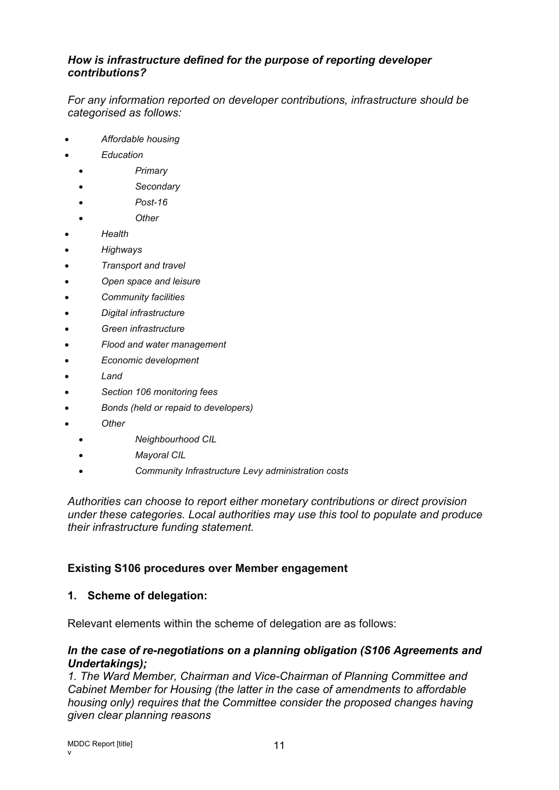### *How is infrastructure defined for the purpose of reporting developer contributions?*

*For any information reported on developer contributions, infrastructure should be categorised as follows:*

- *Affordable housing*
- *Education*
	- *Primary*
	- *Secondary*
	- *Post-16*
	- *Other*
- *Health*
- *Highways*
- *Transport and travel*
- *Open space and leisure*
- *Community facilities*
- *Digital infrastructure*
- *Green infrastructure*
- *Flood and water management*
- *Economic development*
- *Land*
- *Section 106 monitoring fees*
- *Bonds (held or repaid to developers)*
- *Other*
	- *Neighbourhood CIL*
	- *Mayoral CIL*
	- *Community Infrastructure Levy administration costs*

*Authorities can choose to report either monetary contributions or direct provision under these categories. Local authorities may use this tool to populate and produce their infrastructure funding statement.*

## **Existing S106 procedures over Member engagement**

## **1. Scheme of delegation:**

Relevant elements within the scheme of delegation are as follows:

### *In the case of re-negotiations on a planning obligation (S106 Agreements and Undertakings);*

*1. The Ward Member, Chairman and Vice-Chairman of Planning Committee and Cabinet Member for Housing (the latter in the case of amendments to affordable housing only) requires that the Committee consider the proposed changes having given clear planning reasons*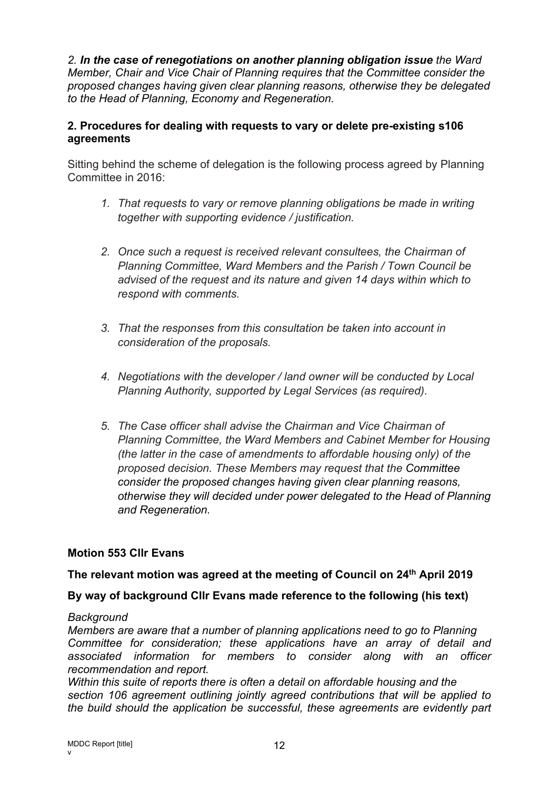*2. In the case of renegotiations on another planning obligation issue the Ward Member, Chair and Vice Chair of Planning requires that the Committee consider the proposed changes having given clear planning reasons, otherwise they be delegated to the Head of Planning, Economy and Regeneration.*

## **2. Procedures for dealing with requests to vary or delete pre-existing s106 agreements**

Sitting behind the scheme of delegation is the following process agreed by Planning Committee in 2016:

- *1. That requests to vary or remove planning obligations be made in writing together with supporting evidence / justification.*
- *2. Once such a request is received relevant consultees, the Chairman of Planning Committee, Ward Members and the Parish / Town Council be advised of the request and its nature and given 14 days within which to respond with comments.*
- *3. That the responses from this consultation be taken into account in consideration of the proposals.*
- *4. Negotiations with the developer / land owner will be conducted by Local Planning Authority, supported by Legal Services (as required).*
- *5. The Case officer shall advise the Chairman and Vice Chairman of Planning Committee, the Ward Members and Cabinet Member for Housing (the latter in the case of amendments to affordable housing only) of the proposed decision. These Members may request that the Committee consider the proposed changes having given clear planning reasons, otherwise they will decided under power delegated to the Head of Planning and Regeneration.*

# **Motion 553 Cllr Evans**

## **The relevant motion was agreed at the meeting of Council on 24th April 2019**

## **By way of background Cllr Evans made reference to the following (his text)**

## *Background*

*Members are aware that a number of planning applications need to go to Planning Committee for consideration; these applications have an array of detail and associated information for members to consider along with an officer recommendation and report.*

*Within this suite of reports there is often a detail on affordable housing and the section 106 agreement outlining jointly agreed contributions that will be applied to the build should the application be successful, these agreements are evidently part*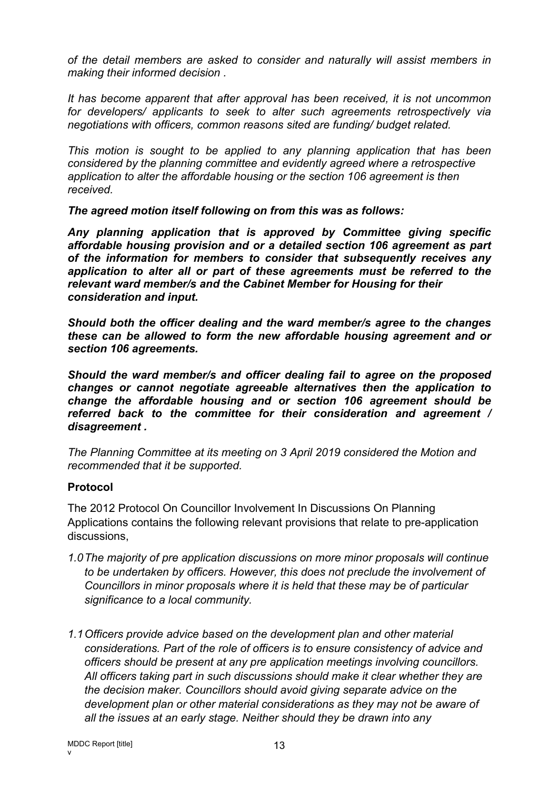*of the detail members are asked to consider and naturally will assist members in making their informed decision .*

*It has become apparent that after approval has been received, it is not uncommon for developers/ applicants to seek to alter such agreements retrospectively via negotiations with officers, common reasons sited are funding/ budget related.*

*This motion is sought to be applied to any planning application that has been considered by the planning committee and evidently agreed where a retrospective application to alter the affordable housing or the section 106 agreement is then received.*

*The agreed motion itself following on from this was as follows:*

*Any planning application that is approved by Committee giving specific affordable housing provision and or a detailed section 106 agreement as part of the information for members to consider that subsequently receives any application to alter all or part of these agreements must be referred to the relevant ward member/s and the Cabinet Member for Housing for their consideration and input.*

*Should both the officer dealing and the ward member/s agree to the changes these can be allowed to form the new affordable housing agreement and or section 106 agreements.*

*Should the ward member/s and officer dealing fail to agree on the proposed changes or cannot negotiate agreeable alternatives then the application to change the affordable housing and or section 106 agreement should be referred back to the committee for their consideration and agreement / disagreement .*

*The Planning Committee at its meeting on 3 April 2019 considered the Motion and recommended that it be supported.*

## **Protocol**

The 2012 Protocol On Councillor Involvement In Discussions On Planning Applications contains the following relevant provisions that relate to pre-application discussions,

- *1.0The majority of pre application discussions on more minor proposals will continue to be undertaken by officers. However, this does not preclude the involvement of Councillors in minor proposals where it is held that these may be of particular significance to a local community.*
- *1.1Officers provide advice based on the development plan and other material considerations. Part of the role of officers is to ensure consistency of advice and officers should be present at any pre application meetings involving councillors. All officers taking part in such discussions should make it clear whether they are the decision maker. Councillors should avoid giving separate advice on the development plan or other material considerations as they may not be aware of all the issues at an early stage. Neither should they be drawn into any*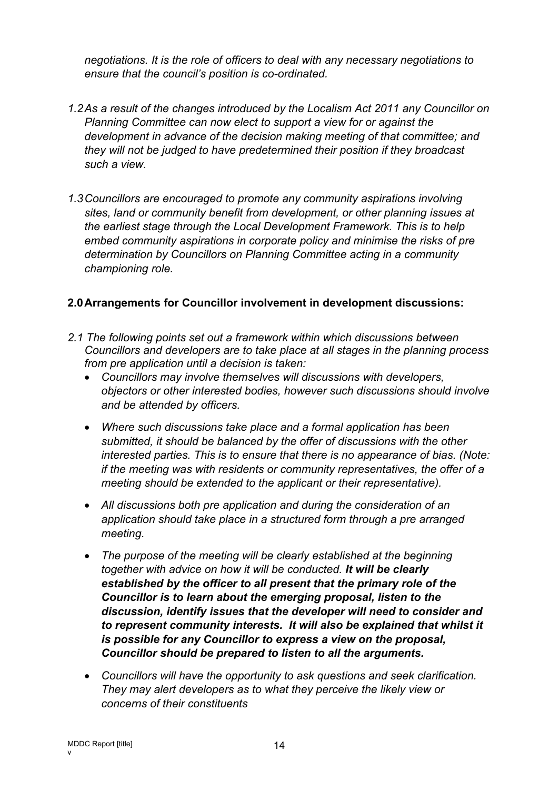*negotiations. It is the role of officers to deal with any necessary negotiations to ensure that the council's position is co-ordinated.*

- *1.2As a result of the changes introduced by the Localism Act 2011 any Councillor on Planning Committee can now elect to support a view for or against the development in advance of the decision making meeting of that committee; and they will not be judged to have predetermined their position if they broadcast such a view.*
- *1.3Councillors are encouraged to promote any community aspirations involving sites, land or community benefit from development, or other planning issues at the earliest stage through the Local Development Framework. This is to help embed community aspirations in corporate policy and minimise the risks of pre determination by Councillors on Planning Committee acting in a community championing role.*

### **2.0Arrangements for Councillor involvement in development discussions:**

- *2.1 The following points set out a framework within which discussions between Councillors and developers are to take place at all stages in the planning process from pre application until a decision is taken:*
	- *Councillors may involve themselves will discussions with developers, objectors or other interested bodies, however such discussions should involve and be attended by officers.*
	- *Where such discussions take place and a formal application has been submitted, it should be balanced by the offer of discussions with the other interested parties. This is to ensure that there is no appearance of bias. (Note: if the meeting was with residents or community representatives, the offer of a meeting should be extended to the applicant or their representative).*
	- *All discussions both pre application and during the consideration of an application should take place in a structured form through a pre arranged meeting.*
	- *The purpose of the meeting will be clearly established at the beginning together with advice on how it will be conducted. It will be clearly established by the officer to all present that the primary role of the Councillor is to learn about the emerging proposal, listen to the discussion, identify issues that the developer will need to consider and to represent community interests. It will also be explained that whilst it is possible for any Councillor to express a view on the proposal, Councillor should be prepared to listen to all the arguments.*
	- *Councillors will have the opportunity to ask questions and seek clarification. They may alert developers as to what they perceive the likely view or concerns of their constituents*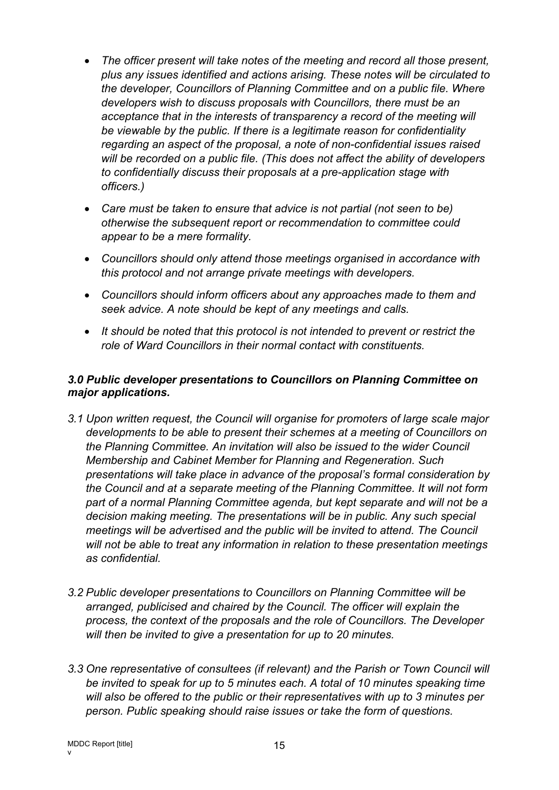- *The officer present will take notes of the meeting and record all those present, plus any issues identified and actions arising. These notes will be circulated to the developer, Councillors of Planning Committee and on a public file. Where developers wish to discuss proposals with Councillors, there must be an acceptance that in the interests of transparency a record of the meeting will be viewable by the public. If there is a legitimate reason for confidentiality regarding an aspect of the proposal, a note of non-confidential issues raised will be recorded on a public file. (This does not affect the ability of developers to confidentially discuss their proposals at a pre-application stage with officers.)*
- *Care must be taken to ensure that advice is not partial (not seen to be) otherwise the subsequent report or recommendation to committee could appear to be a mere formality.*
- *Councillors should only attend those meetings organised in accordance with this protocol and not arrange private meetings with developers.*
- *Councillors should inform officers about any approaches made to them and seek advice. A note should be kept of any meetings and calls.*
- *It should be noted that this protocol is not intended to prevent or restrict the role of Ward Councillors in their normal contact with constituents.*

## *3.0 Public developer presentations to Councillors on Planning Committee on major applications.*

- *3.1 Upon written request, the Council will organise for promoters of large scale major developments to be able to present their schemes at a meeting of Councillors on the Planning Committee. An invitation will also be issued to the wider Council Membership and Cabinet Member for Planning and Regeneration. Such presentations will take place in advance of the proposal's formal consideration by the Council and at a separate meeting of the Planning Committee. It will not form part of a normal Planning Committee agenda, but kept separate and will not be a decision making meeting. The presentations will be in public. Any such special meetings will be advertised and the public will be invited to attend. The Council will not be able to treat any information in relation to these presentation meetings as confidential.*
- *3.2 Public developer presentations to Councillors on Planning Committee will be arranged, publicised and chaired by the Council. The officer will explain the process, the context of the proposals and the role of Councillors. The Developer will then be invited to give a presentation for up to 20 minutes.*
- *3.3 One representative of consultees (if relevant) and the Parish or Town Council will be invited to speak for up to 5 minutes each. A total of 10 minutes speaking time will also be offered to the public or their representatives with up to 3 minutes per person. Public speaking should raise issues or take the form of questions.*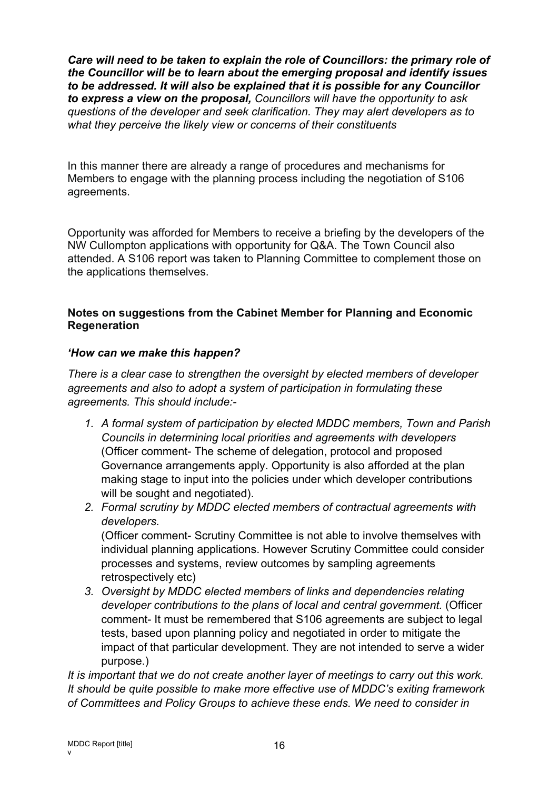*Care will need to be taken to explain the role of Councillors: the primary role of the Councillor will be to learn about the emerging proposal and identify issues to be addressed. It will also be explained that it is possible for any Councillor to express a view on the proposal, Councillors will have the opportunity to ask questions of the developer and seek clarification. They may alert developers as to what they perceive the likely view or concerns of their constituents*

In this manner there are already a range of procedures and mechanisms for Members to engage with the planning process including the negotiation of S106 agreements.

Opportunity was afforded for Members to receive a briefing by the developers of the NW Cullompton applications with opportunity for Q&A. The Town Council also attended. A S106 report was taken to Planning Committee to complement those on the applications themselves.

## **Notes on suggestions from the Cabinet Member for Planning and Economic Regeneration**

## *'How can we make this happen?*

*There is a clear case to strengthen the oversight by elected members of developer agreements and also to adopt a system of participation in formulating these agreements. This should include:-*

- *1. A formal system of participation by elected MDDC members, Town and Parish Councils in determining local priorities and agreements with developers* (Officer comment- The scheme of delegation, protocol and proposed Governance arrangements apply. Opportunity is also afforded at the plan making stage to input into the policies under which developer contributions will be sought and negotiated).
- *2. Formal scrutiny by MDDC elected members of contractual agreements with developers.* (Officer comment- Scrutiny Committee is not able to involve themselves with individual planning applications. However Scrutiny Committee could consider

processes and systems, review outcomes by sampling agreements retrospectively etc)

*3. Oversight by MDDC elected members of links and dependencies relating developer contributions to the plans of local and central government.* (Officer comment- It must be remembered that S106 agreements are subject to legal tests, based upon planning policy and negotiated in order to mitigate the impact of that particular development. They are not intended to serve a wider purpose.)

*It is important that we do not create another layer of meetings to carry out this work. It should be quite possible to make more effective use of MDDC's exiting framework of Committees and Policy Groups to achieve these ends. We need to consider in*